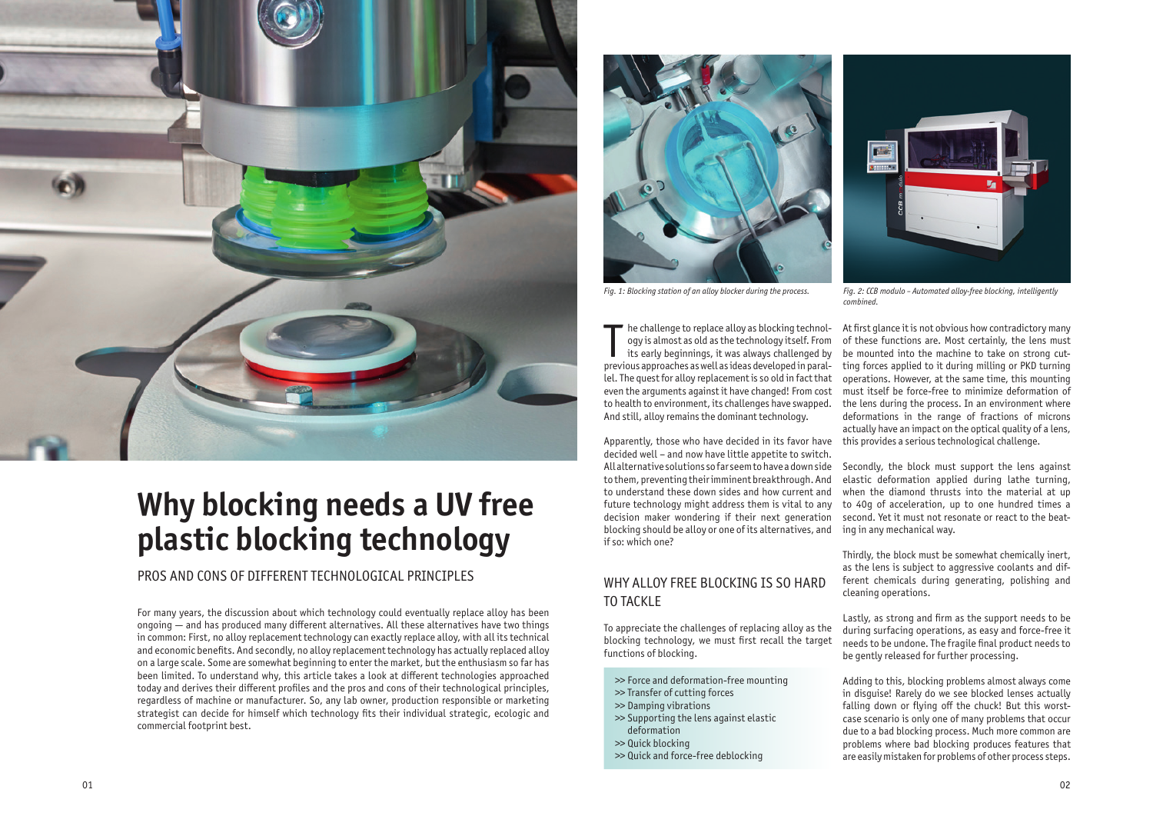

# **Why blocking needs a UV free plastic blocking technology**

PROS AND CONS OF DIFFERENT TECHNOLOGICAL PRINCIPLES

For many years, the discussion about which technology could eventually replace alloy has been ongoing — and has produced many different alternatives. All these alternatives have two things in common: First, no alloy replacement technology can exactly replace alloy, with all its technical and economic benefits. And secondly, no alloy replacement technology has actually replaced alloy on a large scale. Some are somewhat beginning to enter the market, but the enthusiasm so far has been limited. To understand why, this article takes a look at different technologies approached today and derives their different profiles and the pros and cons of their technological principles, regardless of machine or manufacturer. So, any lab owner, production responsible or marketing strategist can decide for himself which technology fits their individual strategic, ecologic and commercial footprint best.

In the challenge to replace alloy as blocking technology is almost as old as the technology itself. From its early beginnings, it was always challenged by previous approaches as well as ideas developed in paralhe challenge to replace alloy as blocking technology is almost as old as the technology itself. From its early beginnings, it was always challenged by lel. The quest for alloy replacement is so old in fact that even the arguments against it have changed! From cost to health to environment, its challenges have swapped. And still, alloy remains the dominant technology.

Apparently, those who have decided in its favor have decided well – and now have little appetite to switch. All alternative solutions so far seem to have a down side to them, preventing their imminent breakthrough. And to understand these down sides and how current and future technology might address them is vital to any to 40g of acceleration, up to one hundred times a decision maker wondering if their next generation blocking should be alloy or one of its alternatives, and if so: which one?

WHY ALLOY FREE BLOCKING IS SO HARD

TO TACKLE

To appreciate the challenges of replacing alloy as the blocking technology, we must first recall the target

functions of blocking.

>> Force and deformation-free mounting

>> Transfer of cutting forces >> Damping vibrations

>> Supporting the lens against elastic

deformation >> Quick blocking

>> Quick and force-free deblocking

At first glance it is not obvious how contradictory many of these functions are. Most certainly, the lens must be mounted into the machine to take on strong cutting forces applied to it during milling or PKD turning operations. However, at the same time, this mounting must itself be force-free to minimize deformation of the lens during the process. In an environment where deformations in the range of fractions of microns actually have an impact on the optical quality of a lens, this provides a serious technological challenge.

Secondly, the block must support the lens against elastic deformation applied during lathe turning, when the diamond thrusts into the material at up second. Yet it must not resonate or react to the beating in any mechanical way.

Thirdly, the block must be somewhat chemically inert, as the lens is subject to aggressive coolants and different chemicals during generating, polishing and cleaning operations.

Lastly, as strong and firm as the support needs to be during surfacing operations, as easy and force-free it needs to be undone. The fragile final product needs to be gently released for further processing.

Adding to this, blocking problems almost always come in disguise! Rarely do we see blocked lenses actually falling down or flying off the chuck! But this worstcase scenario is only one of many problems that occur due to a bad blocking process. Much more common are problems where bad blocking produces features that are easily mistaken for problems of other process steps.



*Fig. 1: Blocking station of an alloy blocker during the process. Fig. 2: CCB modulo – Automated alloy-free blocking, intelligently* 



*combined.*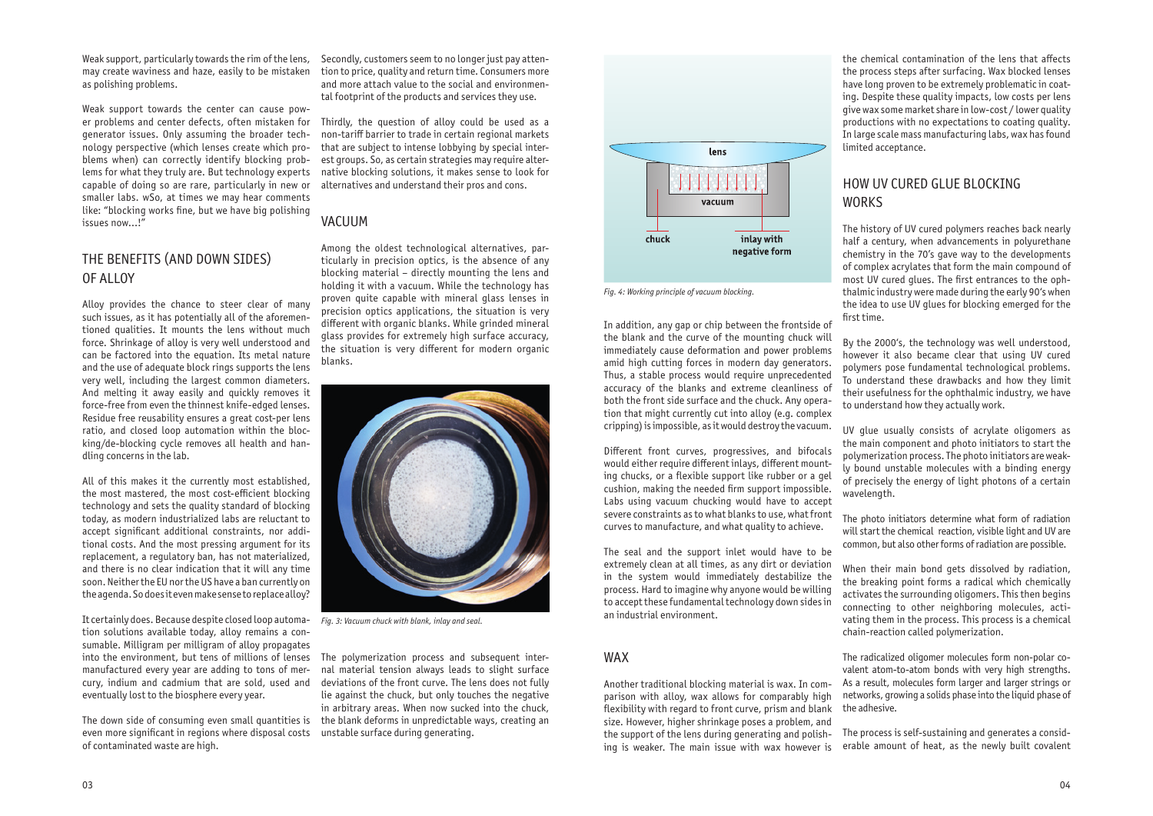Weak support, particularly towards the rim of the lens, may create waviness and haze, easily to be mistaken as polishing problems.

Weak support towards the center can cause power problems and center defects, often mistaken for generator issues. Only assuming the broader technology perspective (which lenses create which problems when) can correctly identify blocking problems for what they truly are. But technology experts capable of doing so are rare, particularly in new or smaller labs. wSo, at times we may hear comments like: "blocking works fine, but we have big polishing issues now…!"

## THE BENEFITS (AND DOWN SIDES) OF ALLOY

Alloy provides the chance to steer clear of many such issues, as it has potentially all of the aforementioned qualities. It mounts the lens without much force. Shrinkage of alloy is very well understood and can be factored into the equation. Its metal nature and the use of adequate block rings supports the lens very well, including the largest common diameters. And melting it away easily and quickly removes it force-free from even the thinnest knife-edged lenses. Residue free reusability ensures a great cost-per lens ratio, and closed loop automation within the blocking/de-blocking cycle removes all health and handling concerns in the lab.

All of this makes it the currently most established, the most mastered, the most cost-efficient blocking technology and sets the quality standard of blocking today, as modern industrialized labs are reluctant to accept significant additional constraints, nor additional costs. And the most pressing argument for its replacement, a regulatory ban, has not materialized, and there is no clear indication that it will any time soon. Neither the EU nor the US have a ban currently on the agenda. So does it even make sense to replace alloy?

It certainly does. Because despite closed loop automation solutions available today, alloy remains a consumable. Milligram per milligram of alloy propagates into the environment, but tens of millions of lenses manufactured every year are adding to tons of mercury, indium and cadmium that are sold, used and eventually lost to the biosphere every year.

The down side of consuming even small quantities is even more significant in regions where disposal costs of contaminated waste are high.

Secondly, customers seem to no longer just pay attention to price, quality and return time. Consumers more and more attach value to the social and environmental footprint of the products and services they use.

Thirdly, the question of alloy could be used as a non-tariff barrier to trade in certain regional markets that are subject to intense lobbying by special interest groups. So, as certain strategies may require alternative blocking solutions, it makes sense to look for alternatives and understand their pros and cons.

## HOW UV CURED GLUE BLOCKING **WORKS**

## VACUUM

Among the oldest technological alternatives, particularly in precision optics, is the absence of any blocking material – directly mounting the lens and holding it with a vacuum. While the technology has proven quite capable with mineral glass lenses in precision optics applications, the situation is very different with organic blanks. While grinded mineral glass provides for extremely high surface accuracy, the situation is very different for modern organic blanks.

The polymerization process and subsequent internal material tension always leads to slight surface deviations of the front curve. The lens does not fully lie against the chuck, but only touches the negative in arbitrary areas. When now sucked into the chuck, the blank deforms in unpredictable ways, creating an unstable surface during generating.

In addition, any gap or chip between the frontside of the blank and the curve of the mounting chuck will immediately cause deformation and power problems amid high cutting forces in modern day generators. Thus, a stable process would require unprecedented accuracy of the blanks and extreme cleanliness of both the front side surface and the chuck. Any operation that might currently cut into alloy (e.g. complex cripping) is impossible, as it would destroy the vacuum.

Different front curves, progressives, and bifocals would either require different inlays, different mounting chucks, or a flexible support like rubber or a gel cushion, making the needed firm support impossible. Labs using vacuum chucking would have to accept severe constraints as to what blanks to use, what front curves to manufacture, and what quality to achieve.

The seal and the support inlet would have to be extremely clean at all times, as any dirt or deviation in the system would immediately destabilize the process. Hard to imagine why anyone would be willing to accept these fundamental technology down sides in an industrial environment.

## WAX

Another traditional blocking material is wax. In comparison with alloy, wax allows for comparably high flexibility with regard to front curve, prism and blank size. However, higher shrinkage poses a problem, and the support of the lens during generating and polishing is weaker. The main issue with wax however is

the chemical contamination of the lens that affects the process steps after surfacing. Wax blocked lenses have long proven to be extremely problematic in coating. Despite these quality impacts, low costs per lens give wax some market share in low-cost / lower quality productions with no expectations to coating quality. In large scale mass manufacturing labs, wax has found limited acceptance.

The history of UV cured polymers reaches back nearly half a century, when advancements in polyurethane chemistry in the 70's gave way to the developments of complex acrylates that form the main compound of most UV cured glues. The first entrances to the ophthalmic industry were made during the early 90's when the idea to use UV glues for blocking emerged for the first time.

By the 2000's, the technology was well understood, however it also became clear that using UV cured polymers pose fundamental technological problems. To understand these drawbacks and how they limit their usefulness for the ophthalmic industry, we have to understand how they actually work.

UV glue usually consists of acrylate oligomers as the main component and photo initiators to start the polymerization process. The photo initiators are weakly bound unstable molecules with a binding energy of precisely the energy of light photons of a certain

wavelength.

The photo initiators determine what form of radiation will start the chemical reaction, visible light and UV are common, but also other forms of radiation are possible.

When their main bond gets dissolved by radiation, the breaking point forms a radical which chemically activates the surrounding oligomers. This then begins connecting to other neighboring molecules, activating them in the process. This process is a chemical chain-reaction called polymerization.

The radicalized oligomer molecules form non-polar covalent atom-to-atom bonds with very high strengths. As a result, molecules form larger and larger strings or networks, growing a solids phase into the liquid phase of the adhesive.

The process is self-sustaining and generates a considerable amount of heat, as the newly built covalent



*Fig. 4: Working principle of vacuum blocking.*



*Fig. 3: Vacuum chuck with blank, inlay and seal.*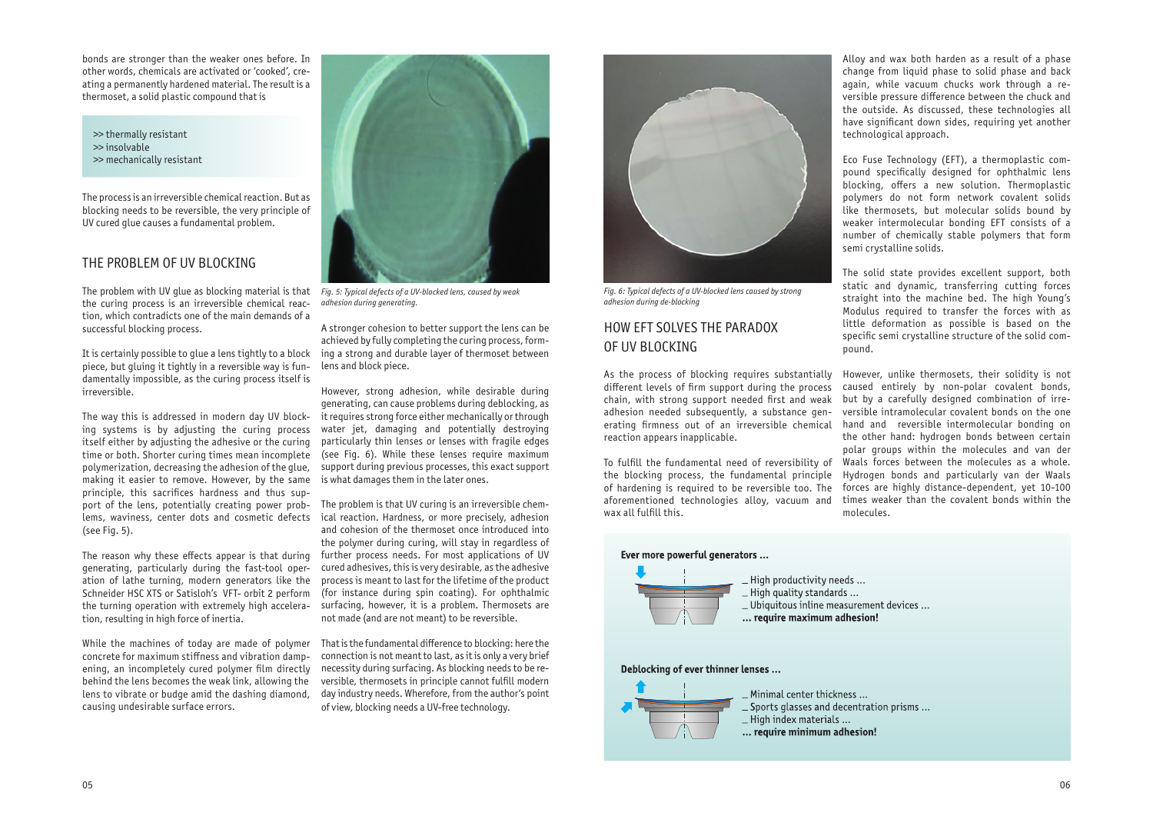bonds are stronger than the weaker ones before. In other words, chemicals are activated or 'cooked', creating a permanently hardened material. The result is a thermoset, a solid plastic compound that is

>> thermally resistant >> insolvable >> mechanically resistant

The process is an irreversible chemical reaction. But as blocking needs to be reversible, the very principle of UV cured glue causes a fundamental problem.

## THE PROBLEM OF UV BLOCKING

The problem with UV glue as blocking material is that *Fig. 5: Typical defects of a UV-blocked lens, caused by weak*  the curing process is an irreversible chemical reaction, which contradicts one of the main demands of a successful blocking process.

It is certainly possible to glue a lens tightly to a block piece, but gluing it tightly in a reversible way is fundamentally impossible, as the curing process itself is irreversible.

The way this is addressed in modern day UV blocking systems is by adjusting the curing process itself either by adjusting the adhesive or the curing time or both. Shorter curing times mean incomplete polymerization, decreasing the adhesion of the glue, making it easier to remove. However, by the same principle, this sacrifices hardness and thus support of the lens, potentially creating power problems, waviness, center dots and cosmetic defects (see Fig. 5).

The reason why these effects appear is that during generating, particularly during the fast-tool operation of lathe turning, modern generators like the Schneider HSC XTS or Satisloh's VFT- orbit 2 perform the turning operation with extremely high acceleration, resulting in high force of inertia.

While the machines of today are made of polymer concrete for maximum stiffness and vibration dampening, an incompletely cured polymer film directly behind the lens becomes the weak link, allowing the lens to vibrate or budge amid the dashing diamond, causing undesirable surface errors.

A stronger cohesion to better support the lens can be achieved by fully completing the curing process, forming a strong and durable layer of thermoset between lens and block piece.

However, strong adhesion, while desirable during generating, can cause problems during deblocking, as it requires strong force either mechanically or through water jet, damaging and potentially destroying particularly thin lenses or lenses with fragile edges (see Fig. 6). While these lenses require maximum support during previous processes, this exact support is what damages them in the later ones.

The problem is that UV curing is an irreversible chemical reaction. Hardness, or more precisely, adhesion and cohesion of the thermoset once introduced into the polymer during curing, will stay in regardless of further process needs. For most applications of UV cured adhesives, this is very desirable, as the adhesive process is meant to last for the lifetime of the product (for instance during spin coating). For ophthalmic surfacing, however, it is a problem. Thermosets are not made (and are not meant) to be reversible.

That is the fundamental difference to blocking: here the connection is not meant to last, as it is only a very brief necessity during surfacing. As blocking needs to be reversible, thermosets in principle cannot fulfill modern day industry needs. Wherefore, from the author's point of view, blocking needs a UV-free technology.

## HOW EFT SOLVES THE PARADOX OF UV BLOCKING

As the process of blocking requires substantially different levels of firm support during the process chain, with strong support needed first and weak adhesion needed subsequently, a substance generating firmness out of an irreversible chemical reaction appears inapplicable.

To fulfill the fundamental need of reversibility of Waals forces between the molecules as a whole. the blocking process, the fundamental principle of hardening is required to be reversible too. The aforementioned technologies alloy, vacuum and wax all fulfill this.

#### Ever more powerful generators ...



High productivity needs ...  $-$  High quality standards  $\ldots$ \_ Ubiquitous inline measurement devices ... ... require maximum adhesion!

#### Deblocking of ever thinner lenses ...



Minimal center thickness ... Sports glasses and decentration prisms ... \_High index materials ... ... require minimum adhesion!

Alloy and wax both harden as a result of a phase change from liquid phase to solid phase and back again, while vacuum chucks work through a reversible pressure difference between the chuck and the outside. As discussed, these technologies all have significant down sides, requiring yet another technological approach.

Eco Fuse Technology (EFT), a thermoplastic compound specifically designed for ophthalmic lens blocking, offers a new solution. Thermoplastic polymers do not form network covalent solids like thermosets, but molecular solids bound by weaker intermolecular bonding EFT consists of a number of chemically stable polymers that form semi crystalline solids.

The solid state provides excellent support, both static and dynamic, transferring cutting forces straight into the machine bed. The high Young's Modulus required to transfer the forces with as little deformation as possible is based on the specific semi crystalline structure of the solid com-

pound.

However, unlike thermosets, their solidity is not caused entirely by non-polar covalent bonds, but by a carefully designed combination of irreversible intramolecular covalent bonds on the one hand and reversible intermolecular bonding on the other hand: hydrogen bonds between certain polar groups within the molecules and van der Hydrogen bonds and particularly van der Waals forces are highly distance-dependent, yet 10-100 times weaker than the covalent bonds within the molecules.



*Fig. 6: Typical defects of a UV-blocked lens caused by strong adhesion during de-blocking*



*adhesion during generating.*